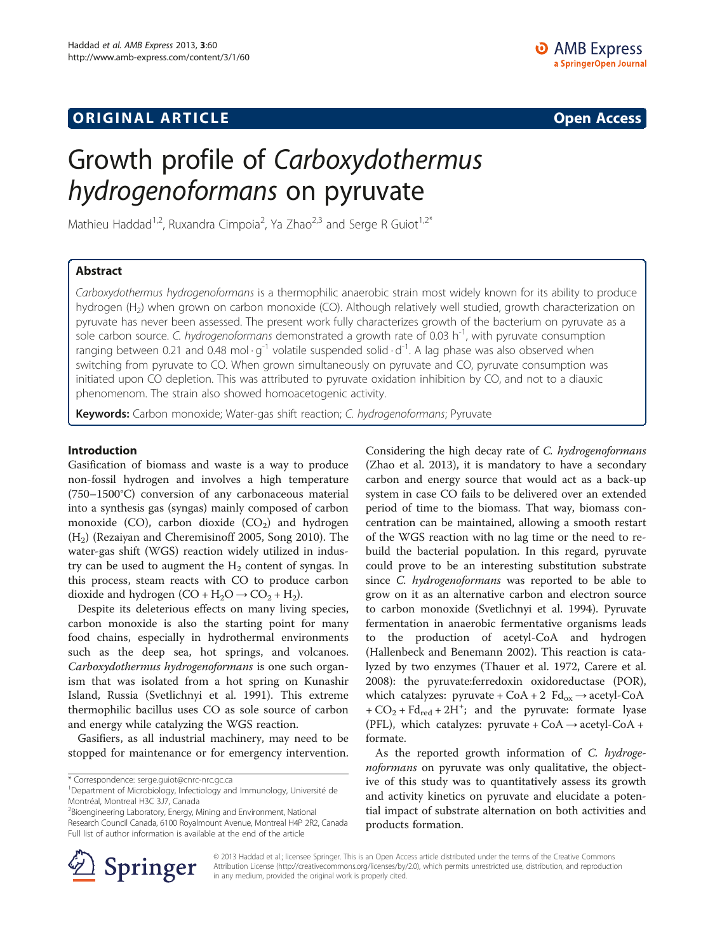## **ORIGINAL ARTICLE CONSUMING A LIGACION** CONSUMING A LIGACION CONSUMING A LIGACION CONSUMING A LIGACION CONSUMING A LIGACION CONSUMING A LIGACION CONSUMING A LIGACION CONSUMING A LIGACION CONSUMING A LIGACION CONSUMING A

# Growth profile of Carboxydothermus hydrogenoformans on pyruvate

Mathieu Haddad<sup>1,2</sup>, Ruxandra Cimpoia<sup>2</sup>, Ya Zhao<sup>2,3</sup> and Serge R Guiot<sup>1,2\*</sup>

## Abstract

Carboxydothermus hydrogenoformans is a thermophilic anaerobic strain most widely known for its ability to produce hydrogen (H2) when grown on carbon monoxide (CO). Although relatively well studied, growth characterization on pyruvate has never been assessed. The present work fully characterizes growth of the bacterium on pyruvate as a sole carbon source. C. hydrogenoformans demonstrated a growth rate of 0.03  $h^{-1}$ , with pyruvate consumption ranging between 0.21 and 0.48 mol  $\cdot g^{-1}$  volatile suspended solid  $\cdot d^{-1}$ . A lag phase was also observed when switching from pyruvate to CO. When grown simultaneously on pyruvate and CO, pyruvate consumption was initiated upon CO depletion. This was attributed to pyruvate oxidation inhibition by CO, and not to a diauxic phenomenom. The strain also showed homoacetogenic activity.

Keywords: Carbon monoxide; Water-gas shift reaction; C. hydrogenoformans; Pyruvate

### Introduction

Gasification of biomass and waste is a way to produce non-fossil hydrogen and involves a high temperature (750–1500°C) conversion of any carbonaceous material into a synthesis gas (syngas) mainly composed of carbon monoxide (CO), carbon dioxide  $(CO<sub>2</sub>)$  and hydrogen  $(H<sub>2</sub>)$  (Rezaiyan and Cheremisinoff [2005,](#page-4-0) Song [2010](#page-4-0)). The water-gas shift (WGS) reaction widely utilized in industry can be used to augment the  $H_2$  content of syngas. In this process, steam reacts with CO to produce carbon dioxide and hydrogen  $(CO + H_2O \rightarrow CO_2 + H_2)$ .

Despite its deleterious effects on many living species, carbon monoxide is also the starting point for many food chains, especially in hydrothermal environments such as the deep sea, hot springs, and volcanoes. Carboxydothermus hydrogenoformans is one such organism that was isolated from a hot spring on Kunashir Island, Russia (Svetlichnyi et al. [1991](#page-4-0)). This extreme thermophilic bacillus uses CO as sole source of carbon and energy while catalyzing the WGS reaction.

Gasifiers, as all industrial machinery, may need to be stopped for maintenance or for emergency intervention.

\* Correspondence: [serge.guiot@cnrc-nrc.gc.ca](mailto:serge.guiot@cnrc-nrc.gc.ca) <sup>1</sup>

<sup>2</sup>Bioengineering Laboratory, Energy, Mining and Environment, National Research Council Canada, 6100 Royalmount Avenue, Montreal H4P 2R2, Canada Full list of author information is available at the end of the article

Considering the high decay rate of C. hydrogenoformans (Zhao et al. [2013](#page-4-0)), it is mandatory to have a secondary carbon and energy source that would act as a back-up system in case CO fails to be delivered over an extended period of time to the biomass. That way, biomass concentration can be maintained, allowing a smooth restart of the WGS reaction with no lag time or the need to rebuild the bacterial population. In this regard, pyruvate could prove to be an interesting substitution substrate since C. hydrogenoformans was reported to be able to grow on it as an alternative carbon and electron source to carbon monoxide (Svetlichnyi et al. [1994](#page-4-0)). Pyruvate fermentation in anaerobic fermentative organisms leads to the production of acetyl-CoA and hydrogen (Hallenbeck and Benemann [2002](#page-4-0)). This reaction is catalyzed by two enzymes (Thauer et al. [1972](#page-4-0), Carere et al. [2008](#page-4-0)): the pyruvate:ferredoxin oxidoreductase (POR), which catalyzes: pyruvate +  $CoA + 2$   $Fd_{ox} \rightarrow acetyl-CoA$  $+ CO<sub>2</sub> + Fd<sub>red</sub> + 2H<sup>+</sup>;$  and the pyruvate: formate lyase (PFL), which catalyzes: pyruvate +  $CoA \rightarrow acetyl-CoA +$ formate.

As the reported growth information of C. hydrogenoformans on pyruvate was only qualitative, the objective of this study was to quantitatively assess its growth and activity kinetics on pyruvate and elucidate a potential impact of substrate alternation on both activities and products formation.



© 2013 Haddad et al.; licensee Springer. This is an Open Access article distributed under the terms of the Creative Commons Attribution License [\(http://creativecommons.org/licenses/by/2.0\)](http://creativecommons.org/licenses/by/2.0), which permits unrestricted use, distribution, and reproduction in any medium, provided the original work is properly cited.

Department of Microbiology, Infectiology and Immunology, Université de Montréal, Montreal H3C 3J7, Canada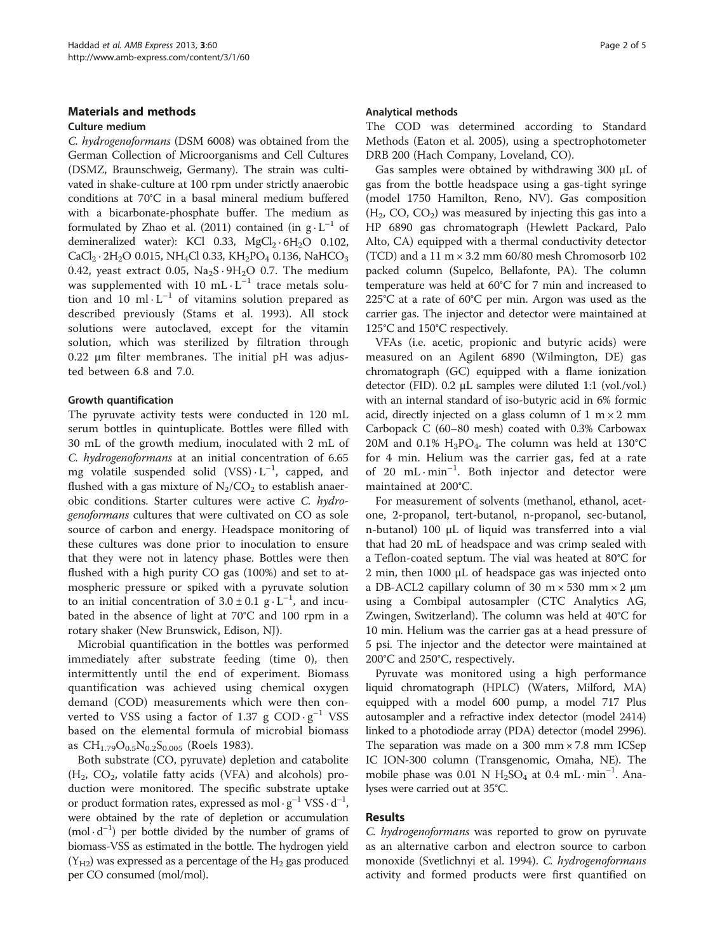## Materials and methods

## Culture medium

C. hydrogenoformans (DSM 6008) was obtained from the German Collection of Microorganisms and Cell Cultures (DSMZ, Braunschweig, Germany). The strain was cultivated in shake-culture at 100 rpm under strictly anaerobic conditions at 70°C in a basal mineral medium buffered with a bicarbonate-phosphate buffer. The medium as formulated by Zhao et al. [\(2011](#page-4-0)) contained (in  $g \cdot L^{-1}$  of demineralized water): KCl 0.33,  $MgCl_2 \cdot 6H_2O$  0.102,  $CaCl<sub>2</sub> \cdot 2H<sub>2</sub>O$  0.015, NH<sub>4</sub>Cl 0.33, KH<sub>2</sub>PO<sub>4</sub> 0.136, NaHCO<sub>3</sub> 0.42, yeast extract 0.05,  $Na<sub>2</sub>S·9H<sub>2</sub>O$  0.7. The medium was supplemented with 10 mL $\cdot$ L<sup>-1</sup> trace metals solution and 10 ml $\cdot$ L<sup>-1</sup> of vitamins solution prepared as described previously (Stams et al. [1993\)](#page-4-0). All stock solutions were autoclaved, except for the vitamin solution, which was sterilized by filtration through 0.22 μm filter membranes. The initial pH was adjusted between 6.8 and 7.0.

## Growth quantification

The pyruvate activity tests were conducted in 120 mL serum bottles in quintuplicate. Bottles were filled with 30 mL of the growth medium, inoculated with 2 mL of C. hydrogenoformans at an initial concentration of 6.65 mg volatile suspended solid  $(VSS) \cdot L^{-1}$ , capped, and flushed with a gas mixture of  $N_2/CO_2$  to establish anaerobic conditions. Starter cultures were active C. hydrogenoformans cultures that were cultivated on CO as sole source of carbon and energy. Headspace monitoring of these cultures was done prior to inoculation to ensure that they were not in latency phase. Bottles were then flushed with a high purity CO gas (100%) and set to atmospheric pressure or spiked with a pyruvate solution to an initial concentration of  $3.0 \pm 0.1$  g $\cdot$  L<sup>-1</sup>, and incubated in the absence of light at 70°C and 100 rpm in a rotary shaker (New Brunswick, Edison, NJ).

Microbial quantification in the bottles was performed immediately after substrate feeding (time 0), then intermittently until the end of experiment. Biomass quantification was achieved using chemical oxygen demand (COD) measurements which were then converted to VSS using a factor of 1.37 g  $COD \cdot g^{-1}$  VSS based on the elemental formula of microbial biomass as  $CH_{1.79}O_{0.5}N_{0.2}S_{0.005}$  (Roels [1983\)](#page-4-0).

Both substrate (CO, pyruvate) depletion and catabolite  $(H_2, CO_2,$  volatile fatty acids (VFA) and alcohols) production were monitored. The specific substrate uptake or product formation rates, expressed as  $\text{mol} \cdot \text{g}^{-1} \text{ VSS} \cdot \text{d}^{-1}$ , were obtained by the rate of depletion or accumulation  $(mod \cdot d^{-1})$  per bottle divided by the number of grams of biomass-VSS as estimated in the bottle. The hydrogen yield  $(Y_{H2})$  was expressed as a percentage of the  $H_2$  gas produced per CO consumed (mol/mol).

#### Analytical methods

The COD was determined according to Standard Methods (Eaton et al. [2005\)](#page-4-0), using a spectrophotometer DRB 200 (Hach Company, Loveland, CO).

Gas samples were obtained by withdrawing 300 μL of gas from the bottle headspace using a gas-tight syringe (model 1750 Hamilton, Reno, NV). Gas composition  $(H<sub>2</sub>, CO, CO<sub>2</sub>)$  was measured by injecting this gas into a HP 6890 gas chromatograph (Hewlett Packard, Palo Alto, CA) equipped with a thermal conductivity detector (TCD) and a  $11 \text{ m} \times 3.2 \text{ mm}$  60/80 mesh Chromosorb 102 packed column (Supelco, Bellafonte, PA). The column temperature was held at 60°C for 7 min and increased to 225°C at a rate of 60°C per min. Argon was used as the carrier gas. The injector and detector were maintained at 125°C and 150°C respectively.

VFAs (i.e. acetic, propionic and butyric acids) were measured on an Agilent 6890 (Wilmington, DE) gas chromatograph (GC) equipped with a flame ionization detector (FID). 0.2 μL samples were diluted 1:1 (vol./vol.) with an internal standard of iso-butyric acid in 6% formic acid, directly injected on a glass column of  $1 \text{ m} \times 2 \text{ mm}$ Carbopack C (60–80 mesh) coated with 0.3% Carbowax 20M and 0.1%  $H_3PO_4$ . The column was held at 130°C for 4 min. Helium was the carrier gas, fed at a rate of 20 mL·min<sup>-1</sup>. Both injector and detector were maintained at 200°C.

For measurement of solvents (methanol, ethanol, acetone, 2-propanol, tert-butanol, n-propanol, sec-butanol, n-butanol) 100 μL of liquid was transferred into a vial that had 20 mL of headspace and was crimp sealed with a Teflon-coated septum. The vial was heated at 80°C for 2 min, then 1000 μL of headspace gas was injected onto a DB-ACL2 capillary column of 30 m  $\times$  530 mm  $\times$  2 µm using a Combipal autosampler (CTC Analytics AG, Zwingen, Switzerland). The column was held at 40°C for 10 min. Helium was the carrier gas at a head pressure of 5 psi. The injector and the detector were maintained at 200°C and 250°C, respectively.

Pyruvate was monitored using a high performance liquid chromatograph (HPLC) (Waters, Milford, MA) equipped with a model 600 pump, a model 717 Plus autosampler and a refractive index detector (model 2414) linked to a photodiode array (PDA) detector (model 2996). The separation was made on a 300 mm  $\times$  7.8 mm ICSep IC ION-300 column (Transgenomic, Omaha, NE). The mobile phase was 0.01 N  $H_2SO_4$  at 0.4 mL·min<sup>-1</sup>. Analyses were carried out at 35°C.

## Results

C. hydrogenoformans was reported to grow on pyruvate as an alternative carbon and electron source to carbon monoxide (Svetlichnyi et al. [1994](#page-4-0)). C. hydrogenoformans activity and formed products were first quantified on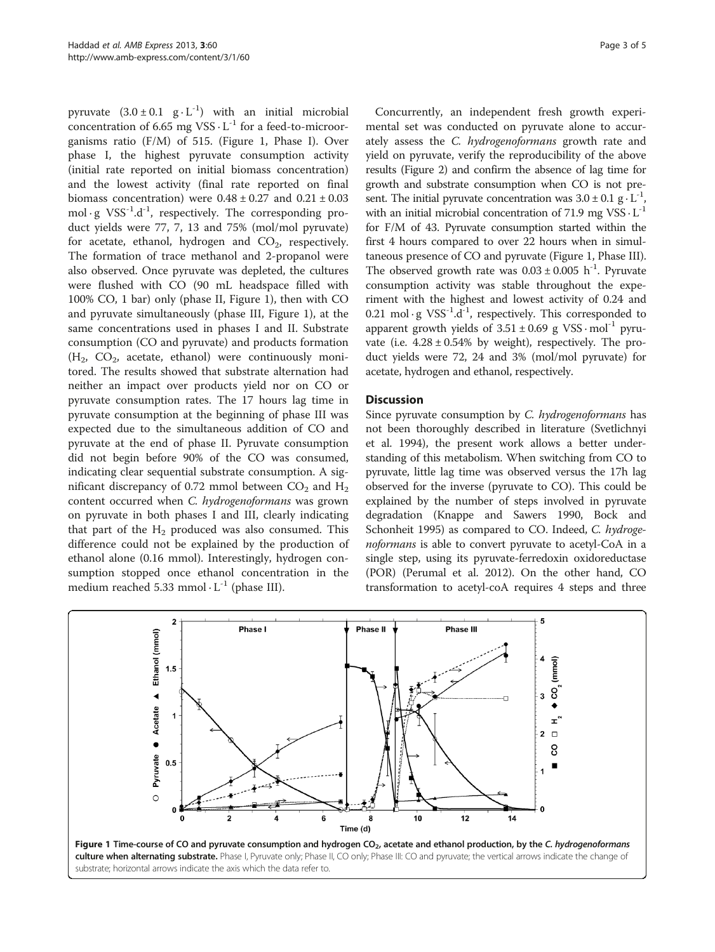<span id="page-2-0"></span>pyruvate  $(3.0 \pm 0.1 \text{ g} \cdot \text{L}^{-1})$  with an initial microbial concentration of  $6.65$  mg VSS $\cdot$  L<sup>-1</sup> for a feed-to-microorganisms ratio (F/M) of 515. (Figure 1, Phase I). Over phase I, the highest pyruvate consumption activity (initial rate reported on initial biomass concentration) and the lowest activity (final rate reported on final biomass concentration) were  $0.48 \pm 0.27$  and  $0.21 \pm 0.03$ mol  $\cdot$  g VSS<sup>-1</sup>.d<sup>-1</sup>, respectively. The corresponding product yields were 77, 7, 13 and 75% (mol/mol pyruvate) for acetate, ethanol, hydrogen and  $CO<sub>2</sub>$ , respectively. The formation of trace methanol and 2-propanol were also observed. Once pyruvate was depleted, the cultures were flushed with CO (90 mL headspace filled with 100% CO, 1 bar) only (phase II, Figure 1), then with CO and pyruvate simultaneously (phase III, Figure 1), at the same concentrations used in phases I and II. Substrate consumption (CO and pyruvate) and products formation  $(H_2, CO_2,$  acetate, ethanol) were continuously monitored. The results showed that substrate alternation had neither an impact over products yield nor on CO or pyruvate consumption rates. The 17 hours lag time in pyruvate consumption at the beginning of phase III was expected due to the simultaneous addition of CO and pyruvate at the end of phase II. Pyruvate consumption did not begin before 90% of the CO was consumed, indicating clear sequential substrate consumption. A significant discrepancy of 0.72 mmol between  $CO<sub>2</sub>$  and  $H<sub>2</sub>$ content occurred when C. hydrogenoformans was grown on pyruvate in both phases I and III, clearly indicating that part of the  $H_2$  produced was also consumed. This difference could not be explained by the production of ethanol alone (0.16 mmol). Interestingly, hydrogen consumption stopped once ethanol concentration in the medium reached 5.33 mmol  $\cdot$  L<sup>-1</sup> (phase III).

Concurrently, an independent fresh growth experimental set was conducted on pyruvate alone to accurately assess the C. hydrogenoformans growth rate and yield on pyruvate, verify the reproducibility of the above results (Figure [2\)](#page-3-0) and confirm the absence of lag time for growth and substrate consumption when CO is not present. The initial pyruvate concentration was  $3.0 \pm 0.1$  g  $\cdot$  L<sup>-1</sup> with an initial microbial concentration of 71.9 mg  $VSS \cdot L^{-1}$ for F/M of 43. Pyruvate consumption started within the first 4 hours compared to over 22 hours when in simultaneous presence of CO and pyruvate (Figure 1, Phase III). The observed growth rate was  $0.03 \pm 0.005$  h<sup>-1</sup>. Pyruvate consumption activity was stable throughout the experiment with the highest and lowest activity of 0.24 and 0.21 mol · g  $VSS^{-1}.d^{-1}$ , respectively. This corresponded to apparent growth yields of  $3.51 \pm 0.69$  g VSS $\cdot$  mol<sup>-1</sup> pyruvate (i.e.  $4.28 \pm 0.54$ % by weight), respectively. The product yields were 72, 24 and 3% (mol/mol pyruvate) for acetate, hydrogen and ethanol, respectively.

## **Discussion**

Since pyruvate consumption by C. hydrogenoformans has not been thoroughly described in literature (Svetlichnyi et al. [1994\)](#page-4-0), the present work allows a better understanding of this metabolism. When switching from CO to pyruvate, little lag time was observed versus the 17h lag observed for the inverse (pyruvate to CO). This could be explained by the number of steps involved in pyruvate degradation (Knappe and Sawers [1990,](#page-4-0) Bock and Schonheit [1995](#page-4-0)) as compared to CO. Indeed, C. hydrogenoformans is able to convert pyruvate to acetyl-CoA in a single step, using its pyruvate-ferredoxin oxidoreductase (POR) (Perumal et al. [2012](#page-4-0)). On the other hand, CO transformation to acetyl-coA requires 4 steps and three

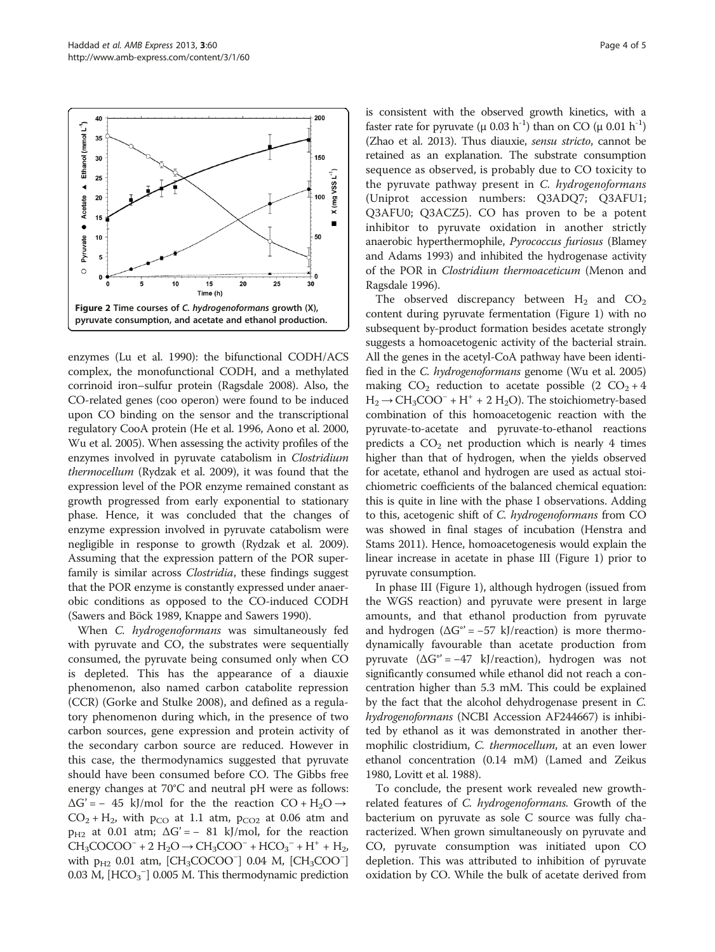<span id="page-3-0"></span>

enzymes (Lu et al. [1990\)](#page-4-0): the bifunctional CODH/ACS complex, the monofunctional CODH, and a methylated corrinoid iron–sulfur protein (Ragsdale [2008](#page-4-0)). Also, the CO-related genes (coo operon) were found to be induced upon CO binding on the sensor and the transcriptional regulatory CooA protein (He et al. [1996](#page-4-0), Aono et al. [2000](#page-4-0), Wu et al. [2005](#page-4-0)). When assessing the activity profiles of the enzymes involved in pyruvate catabolism in Clostridium thermocellum (Rydzak et al. [2009\)](#page-4-0), it was found that the expression level of the POR enzyme remained constant as growth progressed from early exponential to stationary phase. Hence, it was concluded that the changes of enzyme expression involved in pyruvate catabolism were negligible in response to growth (Rydzak et al. [2009](#page-4-0)). Assuming that the expression pattern of the POR superfamily is similar across *Clostridia*, these findings suggest that the POR enzyme is constantly expressed under anaerobic conditions as opposed to the CO-induced CODH (Sawers and Böck [1989](#page-4-0), Knappe and Sawers [1990](#page-4-0)).

When *C. hydrogenoformans* was simultaneously fed with pyruvate and CO, the substrates were sequentially consumed, the pyruvate being consumed only when CO is depleted. This has the appearance of a diauxie phenomenon, also named carbon catabolite repression (CCR) (Gorke and Stulke [2008](#page-4-0)), and defined as a regulatory phenomenon during which, in the presence of two carbon sources, gene expression and protein activity of the secondary carbon source are reduced. However in this case, the thermodynamics suggested that pyruvate should have been consumed before CO. The Gibbs free energy changes at 70°C and neutral pH were as follows:  $\Delta G' = -45$  kJ/mol for the the reaction CO + H<sub>2</sub>O  $\rightarrow$  $CO_2 + H_2$ , with  $p_{CO}$  at 1.1 atm,  $p_{CO2}$  at 0.06 atm and  $p_{H2}$  at 0.01 atm;  $\Delta G' = -81$  kJ/mol, for the reaction  $CH_3COCOO^- + 2 H_2O \rightarrow CH_3COO^- + HCO_3^- + H^+ + H_2,$ with  $p_{H2}$  0.01 atm, [CH<sub>3</sub>COCOO<sup>-</sup>] 0.04 M, [CH<sub>3</sub>COO<sup>-</sup>] 0.03 M,  $[\text{HCO}_3^-]$  0.005 M. This thermodynamic prediction

is consistent with the observed growth kinetics, with a faster rate for pyruvate (μ 0.03 h<sup>-1</sup>) than on CO (μ 0.01 h<sup>-1</sup>) (Zhao et al. [2013](#page-4-0)). Thus diauxie, sensu stricto, cannot be retained as an explanation. The substrate consumption sequence as observed, is probably due to CO toxicity to the pyruvate pathway present in C. hydrogenoformans (Uniprot accession numbers: Q3ADQ7; Q3AFU1; Q3AFU0; Q3ACZ5). CO has proven to be a potent inhibitor to pyruvate oxidation in another strictly anaerobic hyperthermophile, Pyrococcus furiosus (Blamey and Adams [1993\)](#page-4-0) and inhibited the hydrogenase activity of the POR in Clostridium thermoaceticum (Menon and Ragsdale [1996\)](#page-4-0).

The observed discrepancy between  $H_2$  and  $CO_2$ content during pyruvate fermentation (Figure [1\)](#page-2-0) with no subsequent by-product formation besides acetate strongly suggests a homoacetogenic activity of the bacterial strain. All the genes in the acetyl-CoA pathway have been identi-fied in the C. hydrogenoformans genome (Wu et al. [2005](#page-4-0)) making  $CO_2$  reduction to acetate possible  $(2 CO_2 + 4)$  $H_2 \rightarrow CH_3COO^- + H^+ + 2 H_2O$ ). The stoichiometry-based combination of this homoacetogenic reaction with the pyruvate-to-acetate and pyruvate-to-ethanol reactions predicts a  $CO<sub>2</sub>$  net production which is nearly 4 times higher than that of hydrogen, when the yields observed for acetate, ethanol and hydrogen are used as actual stoichiometric coefficients of the balanced chemical equation: this is quite in line with the phase I observations. Adding to this, acetogenic shift of C. hydrogenoformans from CO was showed in final stages of incubation (Henstra and Stams [2011](#page-4-0)). Hence, homoacetogenesis would explain the linear increase in acetate in phase III (Figure [1\)](#page-2-0) prior to pyruvate consumption.

In phase III (Figure [1\)](#page-2-0), although hydrogen (issued from the WGS reaction) and pyruvate were present in large amounts, and that ethanol production from pyruvate and hydrogen  $(\Delta G^{\circ} = -57 \text{ kJ/reaction})$  is more thermodynamically favourable than acetate production from pyruvate  $(\Delta G^{\circ} = -47 \text{ kJ/reaction})$ , hydrogen was not significantly consumed while ethanol did not reach a concentration higher than 5.3 mM. This could be explained by the fact that the alcohol dehydrogenase present in C. hydrogenoformans (NCBI Accession AF244667) is inhibited by ethanol as it was demonstrated in another thermophilic clostridium, C. thermocellum, at an even lower ethanol concentration (0.14 mM) (Lamed and Zeikus [1980](#page-4-0), Lovitt et al. [1988\)](#page-4-0).

To conclude, the present work revealed new growthrelated features of C. hydrogenoformans. Growth of the bacterium on pyruvate as sole C source was fully characterized. When grown simultaneously on pyruvate and CO, pyruvate consumption was initiated upon CO depletion. This was attributed to inhibition of pyruvate oxidation by CO. While the bulk of acetate derived from